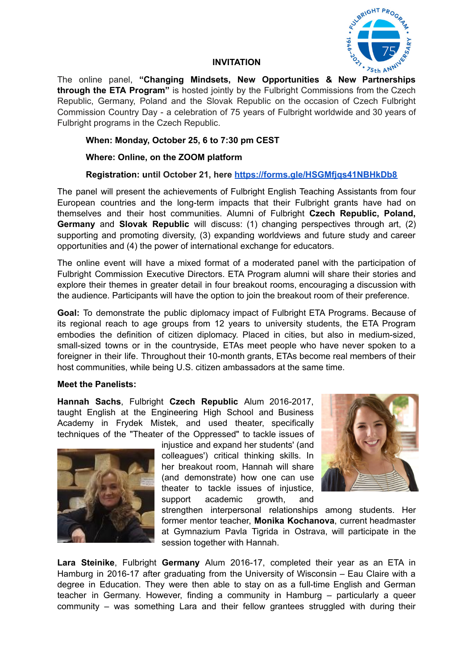

## **INVITATION**

The online panel, **"Changing Mindsets, New Opportunities & New Partnerships through the ETA Program"** is hosted jointly by the Fulbright Commissions from the Czech Republic, Germany, Poland and the Slovak Republic on the occasion of Czech Fulbright Commission Country Day - a celebration of 75 years of Fulbright worldwide and 30 years of Fulbright programs in the Czech Republic.

# **When: Monday, October 25, 6 to 7:30 pm CEST**

## **Where: Online, on the ZOOM platform**

**Registration: until October 21, here <https://forms.gle/HSGMfjqs41NBHkDb8>**

The panel will present the achievements of Fulbright English Teaching Assistants from four European countries and the long-term impacts that their Fulbright grants have had on themselves and their host communities. Alumni of Fulbright **Czech Republic, Poland, Germany** and **Slovak Republic** will discuss: (1) changing perspectives through art, (2) supporting and promoting diversity, (3) expanding worldviews and future study and career opportunities and (4) the power of international exchange for educators.

The online event will have a mixed format of a moderated panel with the participation of Fulbright Commission Executive Directors. ETA Program alumni will share their stories and explore their themes in greater detail in four breakout rooms, encouraging a discussion with the audience. Participants will have the option to join the breakout room of their preference.

**Goal:** To demonstrate the public diplomacy impact of Fulbright ETA Programs. Because of its regional reach to age groups from 12 years to university students, the ETA Program embodies the definition of citizen diplomacy. Placed in cities, but also in medium-sized, small-sized towns or in the countryside, ETAs meet people who have never spoken to a foreigner in their life. Throughout their 10-month grants, ETAs become real members of their host communities, while being U.S. citizen ambassadors at the same time.

## **Meet the Panelists:**

**Hannah Sachs**, Fulbright **Czech Republic** Alum 2016-2017, taught English at the Engineering High School and Business Academy in Frydek Mistek, and used theater, specifically techniques of the "Theater of the Oppressed" to tackle issues of



injustice and expand her students' (and colleagues') critical thinking skills. In her breakout room, Hannah will share (and demonstrate) how one can use theater to tackle issues of injustice, support academic growth, and



strengthen interpersonal relationships among students. Her former mentor teacher, **Monika Kochanova**, current headmaster at Gymnazium Pavla Tigrida in Ostrava, will participate in the session together with Hannah.

**Lara Steinike**, Fulbright **Germany** Alum 2016-17, completed their year as an ETA in Hamburg in 2016-17 after graduating from the University of Wisconsin – Eau Claire with a degree in Education. They were then able to stay on as a full-time English and German teacher in Germany. However, finding a community in Hamburg – particularly a queer community – was something Lara and their fellow grantees struggled with during their